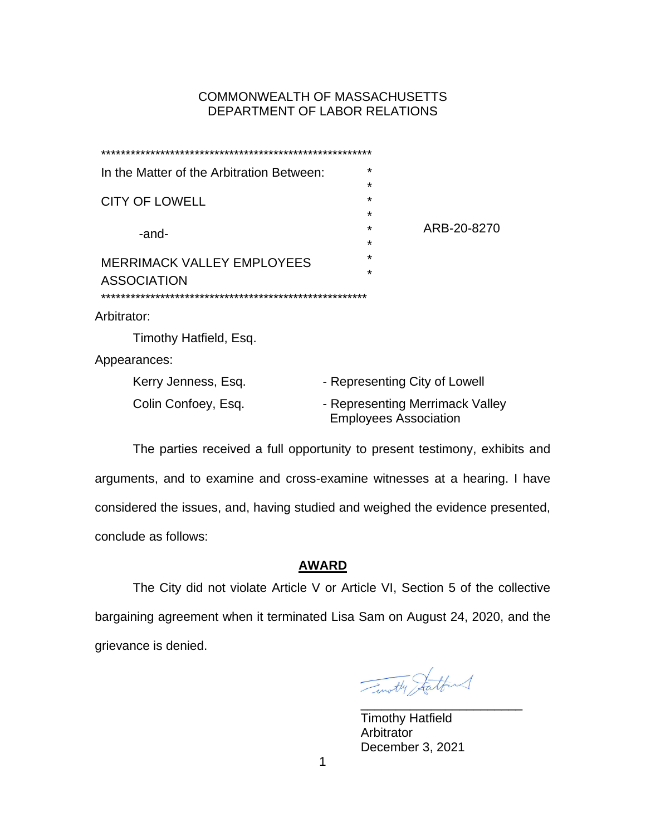# COMMONWEALTH OF MASSACHUSETTS DEPARTMENT OF LABOR RELATIONS

| In the Matter of the Arbitration Between: | *                                                               |
|-------------------------------------------|-----------------------------------------------------------------|
|                                           | ÷                                                               |
| <b>CITY OF LOWELL</b>                     | *<br>*                                                          |
| -and-                                     | ARB-20-8270<br>$\star$                                          |
|                                           | *                                                               |
| <b>MERRIMACK VALLEY EMPLOYEES</b>         | $\star$                                                         |
| <b>ASSOCIATION</b>                        | $\star$                                                         |
|                                           |                                                                 |
| Arbitrator:                               |                                                                 |
| Timothy Hatfield, Esq.                    |                                                                 |
| Appearances:                              |                                                                 |
| Kerry Jenness, Esq.                       | - Representing City of Lowell                                   |
| Colin Confoey, Esq.                       | - Representing Merrimack Valley<br><b>Employees Association</b> |
|                                           |                                                                 |

The parties received a full opportunity to present testimony, exhibits and arguments, and to examine and cross-examine witnesses at a hearing. I have considered the issues, and, having studied and weighed the evidence presented, conclude as follows:

# **AWARD**

The City did not violate Article V or Article VI, Section 5 of the collective bargaining agreement when it terminated Lisa Sam on August 24, 2020, and the grievance is denied.

Timothy Jatour \_\_\_\_\_\_\_\_\_\_\_\_\_\_\_\_\_\_\_\_\_\_\_

Timothy Hatfield Arbitrator December 3, 2021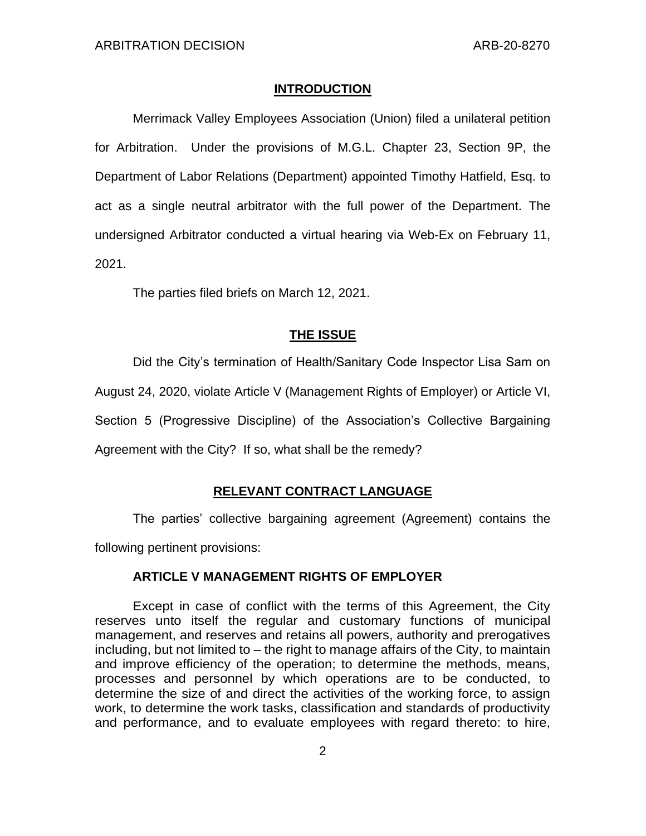## **INTRODUCTION**

Merrimack Valley Employees Association (Union) filed a unilateral petition for Arbitration. Under the provisions of M.G.L. Chapter 23, Section 9P, the Department of Labor Relations (Department) appointed Timothy Hatfield, Esq. to act as a single neutral arbitrator with the full power of the Department. The undersigned Arbitrator conducted a virtual hearing via Web-Ex on February 11, 2021.

The parties filed briefs on March 12, 2021.

## **THE ISSUE**

Did the City's termination of Health/Sanitary Code Inspector Lisa Sam on

August 24, 2020, violate Article V (Management Rights of Employer) or Article VI,

Section 5 (Progressive Discipline) of the Association's Collective Bargaining

Agreement with the City? If so, what shall be the remedy?

## **RELEVANT CONTRACT LANGUAGE**

The parties' collective bargaining agreement (Agreement) contains the following pertinent provisions:

# **ARTICLE V MANAGEMENT RIGHTS OF EMPLOYER**

Except in case of conflict with the terms of this Agreement, the City reserves unto itself the regular and customary functions of municipal management, and reserves and retains all powers, authority and prerogatives including, but not limited to – the right to manage affairs of the City, to maintain and improve efficiency of the operation; to determine the methods, means, processes and personnel by which operations are to be conducted, to determine the size of and direct the activities of the working force, to assign work, to determine the work tasks, classification and standards of productivity and performance, and to evaluate employees with regard thereto: to hire,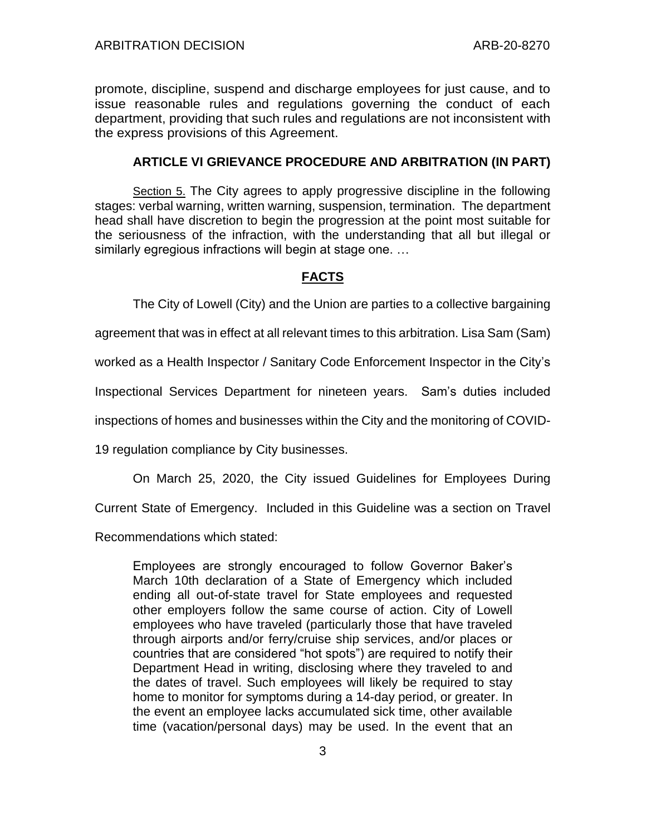promote, discipline, suspend and discharge employees for just cause, and to issue reasonable rules and regulations governing the conduct of each department, providing that such rules and regulations are not inconsistent with the express provisions of this Agreement.

# **ARTICLE VI GRIEVANCE PROCEDURE AND ARBITRATION (IN PART)**

Section 5. The City agrees to apply progressive discipline in the following stages: verbal warning, written warning, suspension, termination. The department head shall have discretion to begin the progression at the point most suitable for the seriousness of the infraction, with the understanding that all but illegal or similarly egregious infractions will begin at stage one. …

## **FACTS**

The City of Lowell (City) and the Union are parties to a collective bargaining

agreement that was in effect at all relevant times to this arbitration. Lisa Sam (Sam)

worked as a Health Inspector / Sanitary Code Enforcement Inspector in the City's

Inspectional Services Department for nineteen years. Sam's duties included

inspections of homes and businesses within the City and the monitoring of COVID-

19 regulation compliance by City businesses.

On March 25, 2020, the City issued Guidelines for Employees During

Current State of Emergency. Included in this Guideline was a section on Travel

Recommendations which stated:

Employees are strongly encouraged to follow Governor Baker's March 10th declaration of a State of Emergency which included ending all out-of-state travel for State employees and requested other employers follow the same course of action. City of Lowell employees who have traveled (particularly those that have traveled through airports and/or ferry/cruise ship services, and/or places or countries that are considered "hot spots") are required to notify their Department Head in writing, disclosing where they traveled to and the dates of travel. Such employees will likely be required to stay home to monitor for symptoms during a 14-day period, or greater. In the event an employee lacks accumulated sick time, other available time (vacation/personal days) may be used. In the event that an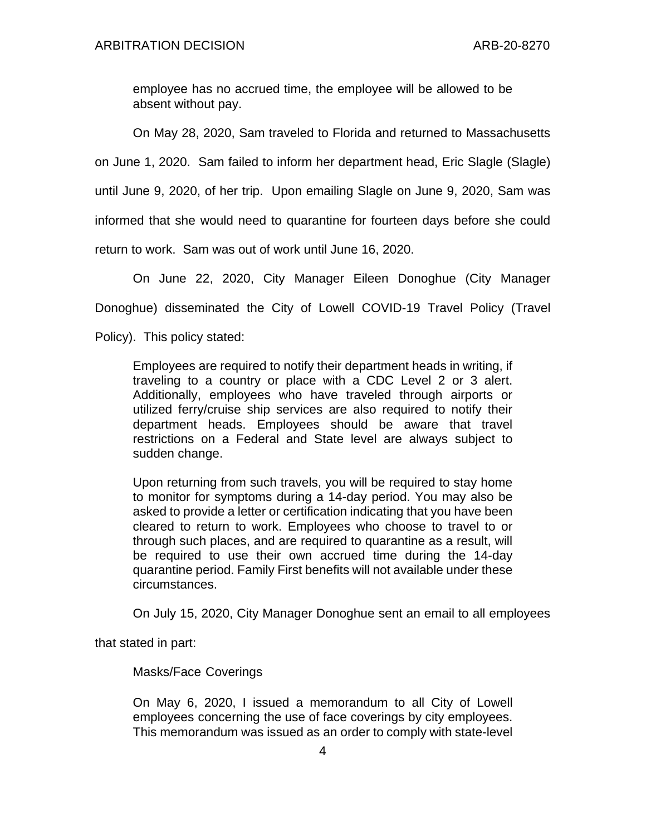employee has no accrued time, the employee will be allowed to be absent without pay.

On May 28, 2020, Sam traveled to Florida and returned to Massachusetts on June 1, 2020. Sam failed to inform her department head, Eric Slagle (Slagle) until June 9, 2020, of her trip. Upon emailing Slagle on June 9, 2020, Sam was informed that she would need to quarantine for fourteen days before she could return to work. Sam was out of work until June 16, 2020.

On June 22, 2020, City Manager Eileen Donoghue (City Manager Donoghue) disseminated the City of Lowell COVID-19 Travel Policy (Travel

Policy). This policy stated:

Employees are required to notify their department heads in writing, if traveling to a country or place with a CDC Level 2 or 3 alert. Additionally, employees who have traveled through airports or utilized ferry/cruise ship services are also required to notify their department heads. Employees should be aware that travel restrictions on a Federal and State level are always subject to sudden change.

Upon returning from such travels, you will be required to stay home to monitor for symptoms during a 14-day period. You may also be asked to provide a letter or certification indicating that you have been cleared to return to work. Employees who choose to travel to or through such places, and are required to quarantine as a result, will be required to use their own accrued time during the 14-day quarantine period. Family First benefits will not available under these circumstances.

On July 15, 2020, City Manager Donoghue sent an email to all employees

that stated in part:

Masks/Face Coverings

On May 6, 2020, I issued a memorandum to all City of Lowell employees concerning the use of face coverings by city employees. This memorandum was issued as an order to comply with state-level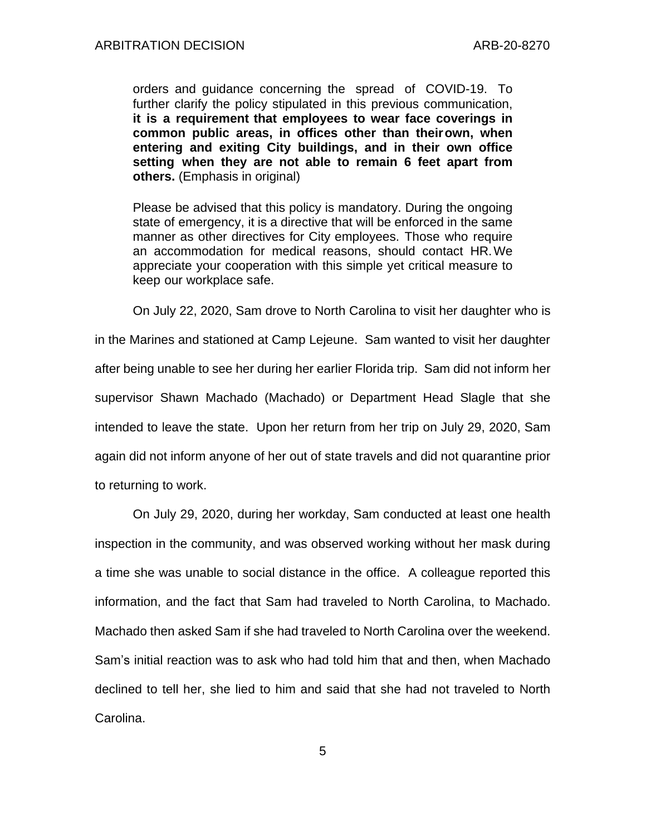orders and guidance concerning the spread of COVID-19. To further clarify the policy stipulated in this previous communication, **it is a requirement that employees to wear face coverings in common public areas, in offices other than theirown, when entering and exiting City buildings, and in their own office setting when they are not able to remain 6 feet apart from others.** (Emphasis in original)

Please be advised that this policy is mandatory. During the ongoing state of emergency, it is a directive that will be enforced in the same manner as other directives for City employees. Those who require an accommodation for medical reasons, should contact HR.We appreciate your cooperation with this simple yet critical measure to keep our workplace safe.

On July 22, 2020, Sam drove to North Carolina to visit her daughter who is in the Marines and stationed at Camp Lejeune. Sam wanted to visit her daughter after being unable to see her during her earlier Florida trip. Sam did not inform her supervisor Shawn Machado (Machado) or Department Head Slagle that she intended to leave the state. Upon her return from her trip on July 29, 2020, Sam again did not inform anyone of her out of state travels and did not quarantine prior to returning to work.

On July 29, 2020, during her workday, Sam conducted at least one health inspection in the community, and was observed working without her mask during a time she was unable to social distance in the office. A colleague reported this information, and the fact that Sam had traveled to North Carolina, to Machado. Machado then asked Sam if she had traveled to North Carolina over the weekend. Sam's initial reaction was to ask who had told him that and then, when Machado declined to tell her, she lied to him and said that she had not traveled to North Carolina.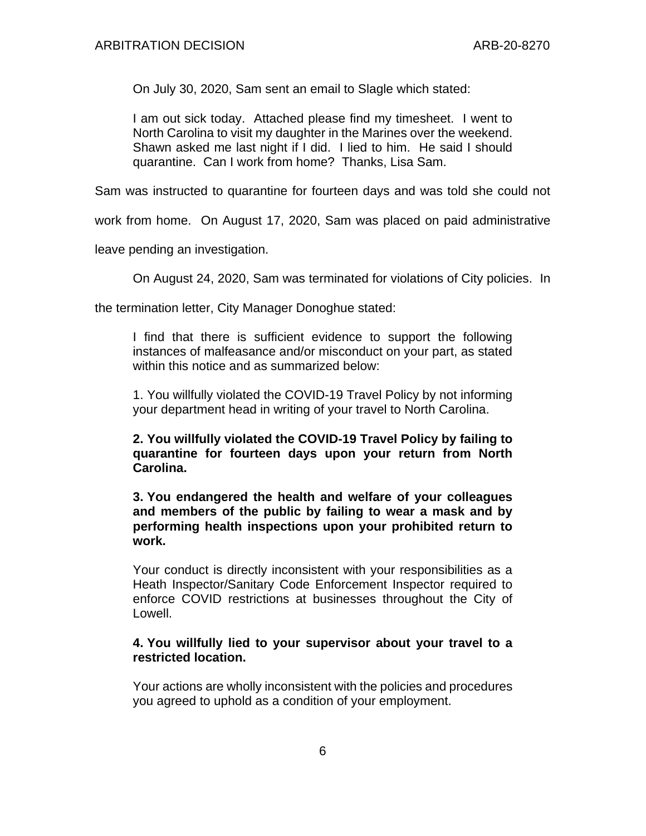On July 30, 2020, Sam sent an email to Slagle which stated:

I am out sick today. Attached please find my timesheet. I went to North Carolina to visit my daughter in the Marines over the weekend. Shawn asked me last night if I did. I lied to him. He said I should quarantine. Can I work from home? Thanks, Lisa Sam.

Sam was instructed to quarantine for fourteen days and was told she could not

work from home. On August 17, 2020, Sam was placed on paid administrative

leave pending an investigation.

On August 24, 2020, Sam was terminated for violations of City policies. In

the termination letter, City Manager Donoghue stated:

I find that there is sufficient evidence to support the following instances of malfeasance and/or misconduct on your part, as stated within this notice and as summarized below:

1. You willfully violated the COVID-19 Travel Policy by not informing your department head in writing of your travel to North Carolina.

**2. You willfully violated the COVID-19 Travel Policy by failing to quarantine for fourteen days upon your return from North Carolina.**

**3. You endangered the health and welfare of your colleagues and members of the public by failing to wear a mask and by performing health inspections upon your prohibited return to work.**

Your conduct is directly inconsistent with your responsibilities as a Heath Inspector/Sanitary Code Enforcement Inspector required to enforce COVID restrictions at businesses throughout the City of Lowell.

# **4. You willfully lied to your supervisor about your travel to a restricted location.**

Your actions are wholly inconsistent with the policies and procedures you agreed to uphold as a condition of your employment.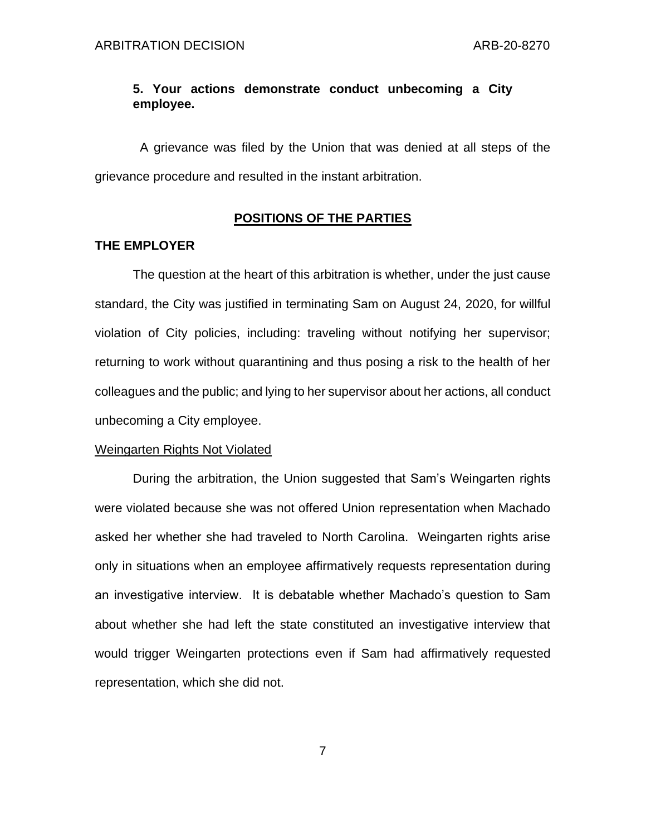# **5. Your actions demonstrate conduct unbecoming a City employee.**

 A grievance was filed by the Union that was denied at all steps of the grievance procedure and resulted in the instant arbitration.

## **POSITIONS OF THE PARTIES**

# **THE EMPLOYER**

The question at the heart of this arbitration is whether, under the just cause standard, the City was justified in terminating Sam on August 24, 2020, for willful violation of City policies, including: traveling without notifying her supervisor; returning to work without quarantining and thus posing a risk to the health of her colleagues and the public; and lying to her supervisor about her actions, all conduct unbecoming a City employee.

## Weingarten Rights Not Violated

During the arbitration, the Union suggested that Sam's Weingarten rights were violated because she was not offered Union representation when Machado asked her whether she had traveled to North Carolina. Weingarten rights arise only in situations when an employee affirmatively requests representation during an investigative interview. It is debatable whether Machado's question to Sam about whether she had left the state constituted an investigative interview that would trigger Weingarten protections even if Sam had affirmatively requested representation, which she did not.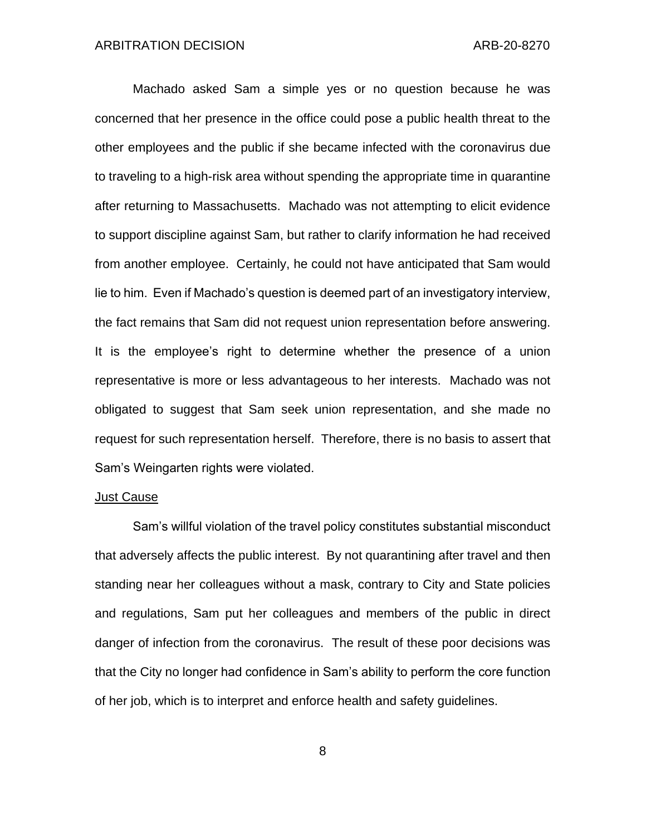Machado asked Sam a simple yes or no question because he was concerned that her presence in the office could pose a public health threat to the other employees and the public if she became infected with the coronavirus due to traveling to a high-risk area without spending the appropriate time in quarantine after returning to Massachusetts. Machado was not attempting to elicit evidence to support discipline against Sam, but rather to clarify information he had received from another employee. Certainly, he could not have anticipated that Sam would lie to him. Even if Machado's question is deemed part of an investigatory interview, the fact remains that Sam did not request union representation before answering. It is the employee's right to determine whether the presence of a union representative is more or less advantageous to her interests. Machado was not obligated to suggest that Sam seek union representation, and she made no request for such representation herself. Therefore, there is no basis to assert that Sam's Weingarten rights were violated.

#### Just Cause

Sam's willful violation of the travel policy constitutes substantial misconduct that adversely affects the public interest. By not quarantining after travel and then standing near her colleagues without a mask, contrary to City and State policies and regulations, Sam put her colleagues and members of the public in direct danger of infection from the coronavirus. The result of these poor decisions was that the City no longer had confidence in Sam's ability to perform the core function of her job, which is to interpret and enforce health and safety guidelines.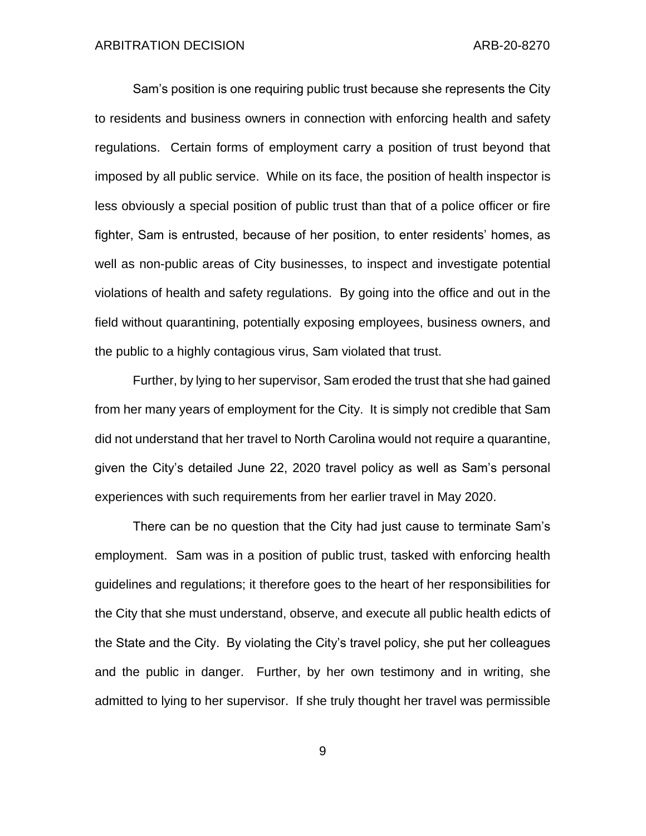Sam's position is one requiring public trust because she represents the City to residents and business owners in connection with enforcing health and safety regulations. Certain forms of employment carry a position of trust beyond that imposed by all public service. While on its face, the position of health inspector is less obviously a special position of public trust than that of a police officer or fire fighter, Sam is entrusted, because of her position, to enter residents' homes, as well as non-public areas of City businesses, to inspect and investigate potential violations of health and safety regulations. By going into the office and out in the field without quarantining, potentially exposing employees, business owners, and the public to a highly contagious virus, Sam violated that trust.

Further, by lying to her supervisor, Sam eroded the trust that she had gained from her many years of employment for the City. It is simply not credible that Sam did not understand that her travel to North Carolina would not require a quarantine, given the City's detailed June 22, 2020 travel policy as well as Sam's personal experiences with such requirements from her earlier travel in May 2020.

There can be no question that the City had just cause to terminate Sam's employment. Sam was in a position of public trust, tasked with enforcing health guidelines and regulations; it therefore goes to the heart of her responsibilities for the City that she must understand, observe, and execute all public health edicts of the State and the City. By violating the City's travel policy, she put her colleagues and the public in danger. Further, by her own testimony and in writing, she admitted to lying to her supervisor. If she truly thought her travel was permissible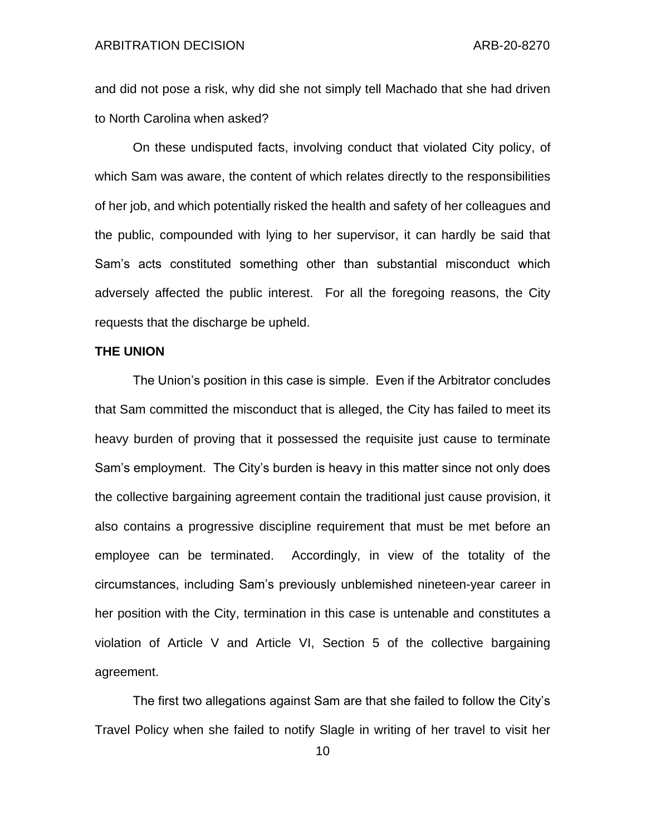and did not pose a risk, why did she not simply tell Machado that she had driven to North Carolina when asked?

On these undisputed facts, involving conduct that violated City policy, of which Sam was aware, the content of which relates directly to the responsibilities of her job, and which potentially risked the health and safety of her colleagues and the public, compounded with lying to her supervisor, it can hardly be said that Sam's acts constituted something other than substantial misconduct which adversely affected the public interest. For all the foregoing reasons, the City requests that the discharge be upheld.

#### **THE UNION**

The Union's position in this case is simple. Even if the Arbitrator concludes that Sam committed the misconduct that is alleged, the City has failed to meet its heavy burden of proving that it possessed the requisite just cause to terminate Sam's employment. The City's burden is heavy in this matter since not only does the collective bargaining agreement contain the traditional just cause provision, it also contains a progressive discipline requirement that must be met before an employee can be terminated. Accordingly, in view of the totality of the circumstances, including Sam's previously unblemished nineteen-year career in her position with the City, termination in this case is untenable and constitutes a violation of Article V and Article VI, Section 5 of the collective bargaining agreement.

The first two allegations against Sam are that she failed to follow the City's Travel Policy when she failed to notify Slagle in writing of her travel to visit her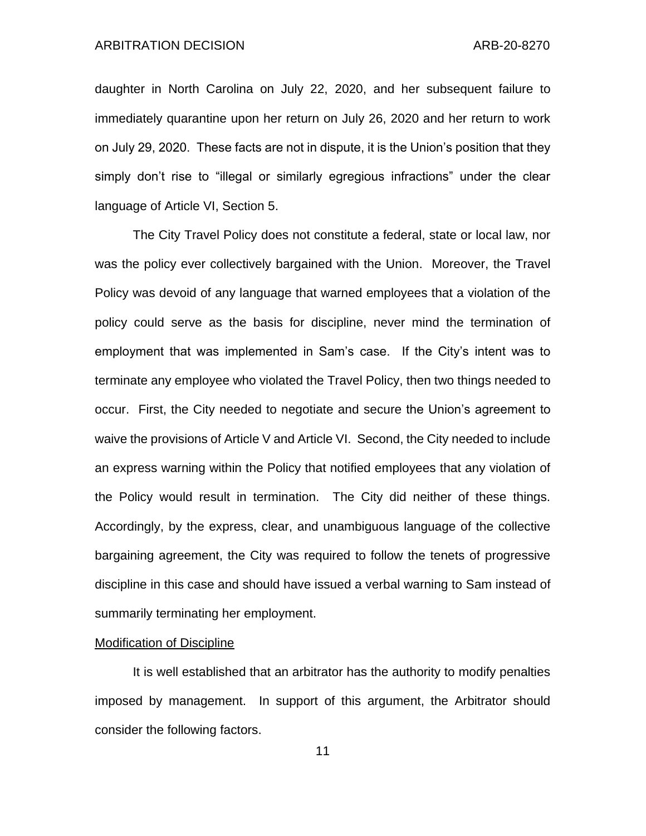daughter in North Carolina on July 22, 2020, and her subsequent failure to immediately quarantine upon her return on July 26, 2020 and her return to work on July 29, 2020. These facts are not in dispute, it is the Union's position that they simply don't rise to "illegal or similarly egregious infractions" under the clear language of Article VI, Section 5.

The City Travel Policy does not constitute a federal, state or local law, nor was the policy ever collectively bargained with the Union. Moreover, the Travel Policy was devoid of any language that warned employees that a violation of the policy could serve as the basis for discipline, never mind the termination of employment that was implemented in Sam's case. If the City's intent was to terminate any employee who violated the Travel Policy, then two things needed to occur. First, the City needed to negotiate and secure the Union's agreement to waive the provisions of Article V and Article VI. Second, the City needed to include an express warning within the Policy that notified employees that any violation of the Policy would result in termination. The City did neither of these things. Accordingly, by the express, clear, and unambiguous language of the collective bargaining agreement, the City was required to follow the tenets of progressive discipline in this case and should have issued a verbal warning to Sam instead of summarily terminating her employment.

### Modification of Discipline

It is well established that an arbitrator has the authority to modify penalties imposed by management. In support of this argument, the Arbitrator should consider the following factors.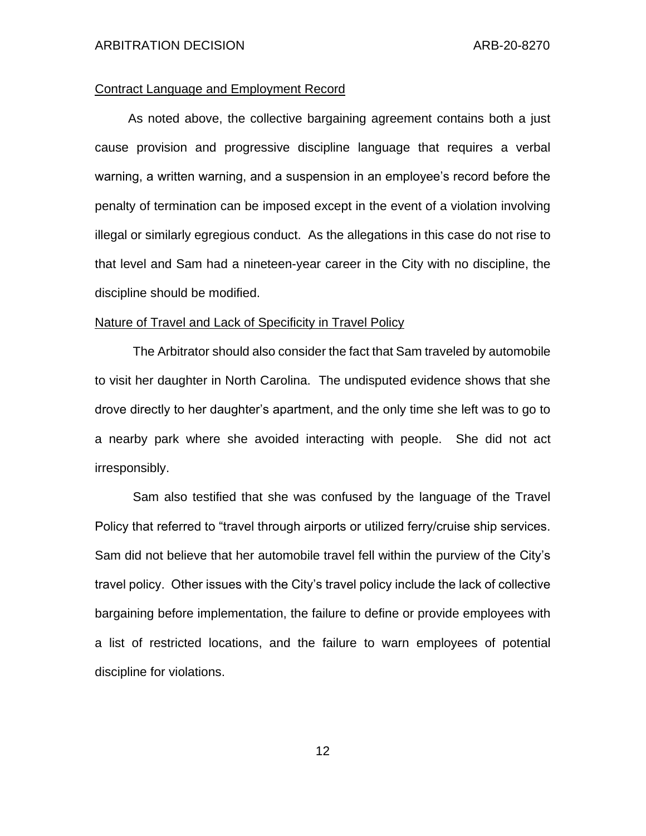#### ARBITRATION DECISION ARB-20-8270

#### Contract Language and Employment Record

As noted above, the collective bargaining agreement contains both a just cause provision and progressive discipline language that requires a verbal warning, a written warning, and a suspension in an employee's record before the penalty of termination can be imposed except in the event of a violation involving illegal or similarly egregious conduct. As the allegations in this case do not rise to that level and Sam had a nineteen-year career in the City with no discipline, the discipline should be modified.

# Nature of Travel and Lack of Specificity in Travel Policy

The Arbitrator should also consider the fact that Sam traveled by automobile to visit her daughter in North Carolina. The undisputed evidence shows that she drove directly to her daughter's apartment, and the only time she left was to go to a nearby park where she avoided interacting with people. She did not act irresponsibly.

Sam also testified that she was confused by the language of the Travel Policy that referred to "travel through airports or utilized ferry/cruise ship services. Sam did not believe that her automobile travel fell within the purview of the City's travel policy. Other issues with the City's travel policy include the lack of collective bargaining before implementation, the failure to define or provide employees with a list of restricted locations, and the failure to warn employees of potential discipline for violations.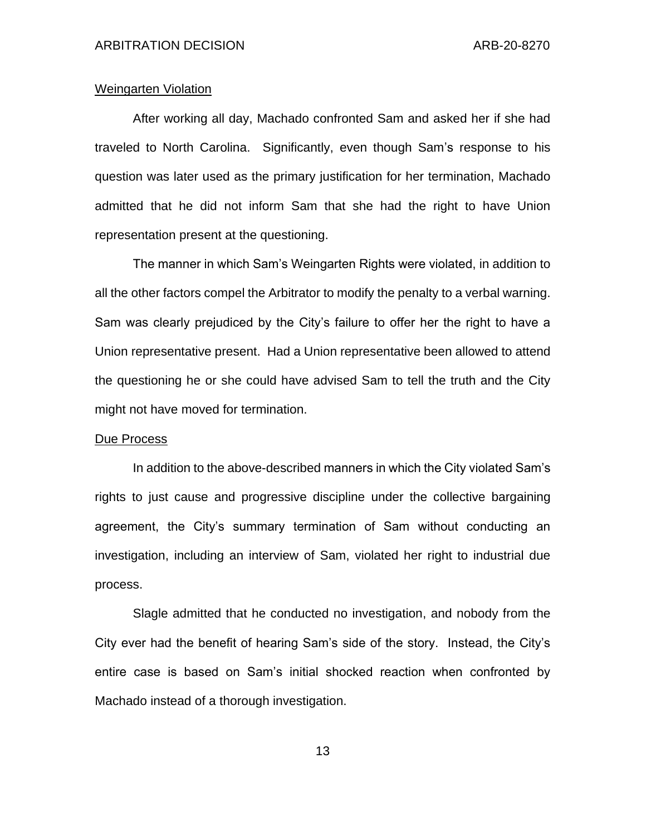#### Weingarten Violation

After working all day, Machado confronted Sam and asked her if she had traveled to North Carolina. Significantly, even though Sam's response to his question was later used as the primary justification for her termination, Machado admitted that he did not inform Sam that she had the right to have Union representation present at the questioning.

The manner in which Sam's Weingarten Rights were violated, in addition to all the other factors compel the Arbitrator to modify the penalty to a verbal warning. Sam was clearly prejudiced by the City's failure to offer her the right to have a Union representative present. Had a Union representative been allowed to attend the questioning he or she could have advised Sam to tell the truth and the City might not have moved for termination.

#### Due Process

In addition to the above-described manners in which the City violated Sam's rights to just cause and progressive discipline under the collective bargaining agreement, the City's summary termination of Sam without conducting an investigation, including an interview of Sam, violated her right to industrial due process.

Slagle admitted that he conducted no investigation, and nobody from the City ever had the benefit of hearing Sam's side of the story. Instead, the City's entire case is based on Sam's initial shocked reaction when confronted by Machado instead of a thorough investigation.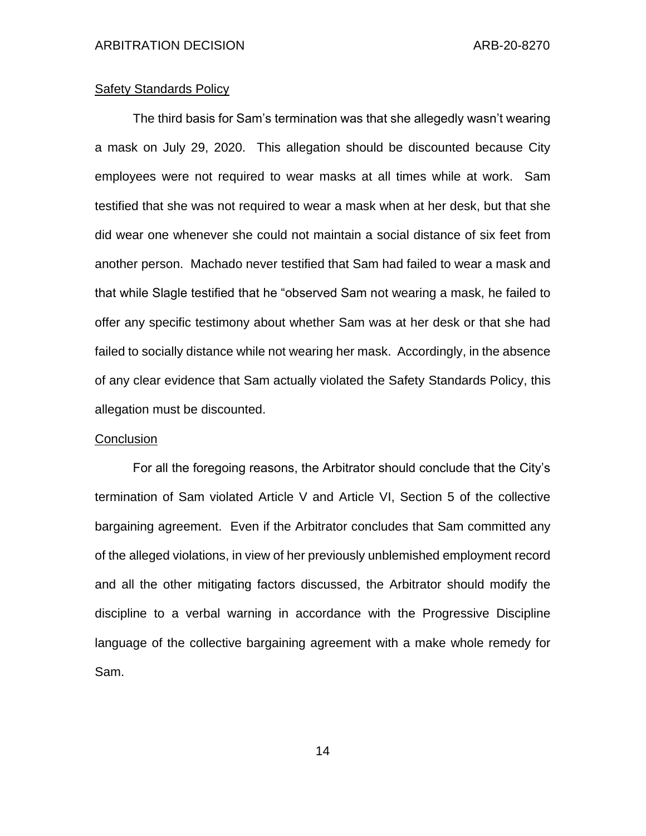## Safety Standards Policy

The third basis for Sam's termination was that she allegedly wasn't wearing a mask on July 29, 2020. This allegation should be discounted because City employees were not required to wear masks at all times while at work. Sam testified that she was not required to wear a mask when at her desk, but that she did wear one whenever she could not maintain a social distance of six feet from another person. Machado never testified that Sam had failed to wear a mask and that while Slagle testified that he "observed Sam not wearing a mask, he failed to offer any specific testimony about whether Sam was at her desk or that she had failed to socially distance while not wearing her mask. Accordingly, in the absence of any clear evidence that Sam actually violated the Safety Standards Policy, this allegation must be discounted.

#### **Conclusion**

For all the foregoing reasons, the Arbitrator should conclude that the City's termination of Sam violated Article V and Article VI, Section 5 of the collective bargaining agreement. Even if the Arbitrator concludes that Sam committed any of the alleged violations, in view of her previously unblemished employment record and all the other mitigating factors discussed, the Arbitrator should modify the discipline to a verbal warning in accordance with the Progressive Discipline language of the collective bargaining agreement with a make whole remedy for Sam.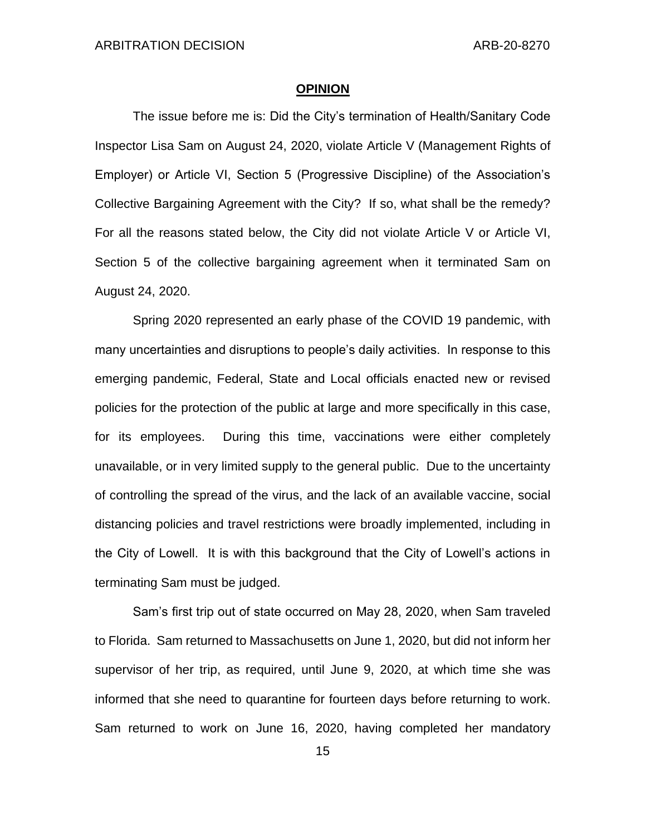## **OPINION**

The issue before me is: Did the City's termination of Health/Sanitary Code Inspector Lisa Sam on August 24, 2020, violate Article V (Management Rights of Employer) or Article VI, Section 5 (Progressive Discipline) of the Association's Collective Bargaining Agreement with the City? If so, what shall be the remedy? For all the reasons stated below, the City did not violate Article V or Article VI, Section 5 of the collective bargaining agreement when it terminated Sam on August 24, 2020.

Spring 2020 represented an early phase of the COVID 19 pandemic, with many uncertainties and disruptions to people's daily activities. In response to this emerging pandemic, Federal, State and Local officials enacted new or revised policies for the protection of the public at large and more specifically in this case, for its employees. During this time, vaccinations were either completely unavailable, or in very limited supply to the general public. Due to the uncertainty of controlling the spread of the virus, and the lack of an available vaccine, social distancing policies and travel restrictions were broadly implemented, including in the City of Lowell. It is with this background that the City of Lowell's actions in terminating Sam must be judged.

Sam's first trip out of state occurred on May 28, 2020, when Sam traveled to Florida. Sam returned to Massachusetts on June 1, 2020, but did not inform her supervisor of her trip, as required, until June 9, 2020, at which time she was informed that she need to quarantine for fourteen days before returning to work. Sam returned to work on June 16, 2020, having completed her mandatory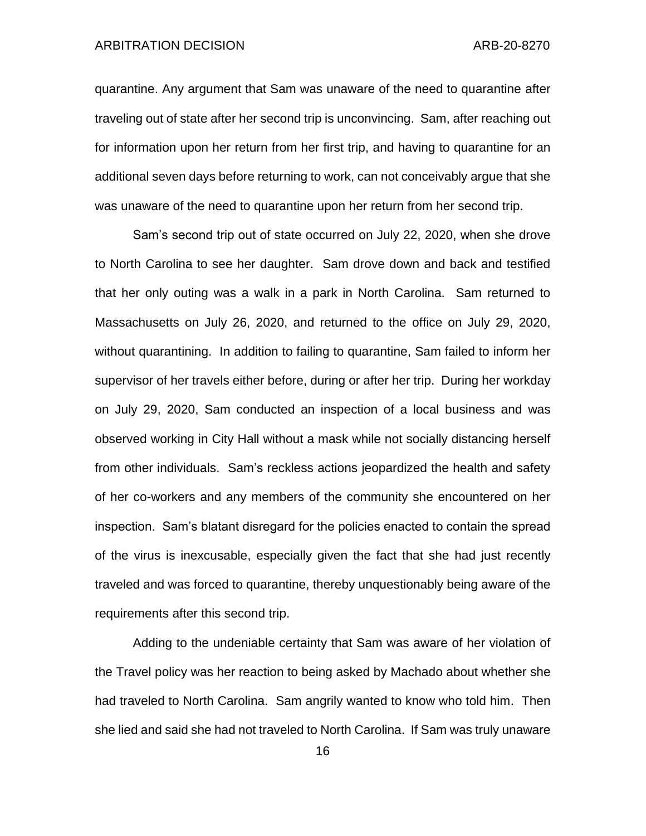ARBITRATION DECISION ARB-20-8270

quarantine. Any argument that Sam was unaware of the need to quarantine after traveling out of state after her second trip is unconvincing. Sam, after reaching out for information upon her return from her first trip, and having to quarantine for an additional seven days before returning to work, can not conceivably argue that she was unaware of the need to quarantine upon her return from her second trip.

Sam's second trip out of state occurred on July 22, 2020, when she drove to North Carolina to see her daughter. Sam drove down and back and testified that her only outing was a walk in a park in North Carolina. Sam returned to Massachusetts on July 26, 2020, and returned to the office on July 29, 2020, without quarantining. In addition to failing to quarantine, Sam failed to inform her supervisor of her travels either before, during or after her trip. During her workday on July 29, 2020, Sam conducted an inspection of a local business and was observed working in City Hall without a mask while not socially distancing herself from other individuals. Sam's reckless actions jeopardized the health and safety of her co-workers and any members of the community she encountered on her inspection. Sam's blatant disregard for the policies enacted to contain the spread of the virus is inexcusable, especially given the fact that she had just recently traveled and was forced to quarantine, thereby unquestionably being aware of the requirements after this second trip.

Adding to the undeniable certainty that Sam was aware of her violation of the Travel policy was her reaction to being asked by Machado about whether she had traveled to North Carolina. Sam angrily wanted to know who told him. Then she lied and said she had not traveled to North Carolina. If Sam was truly unaware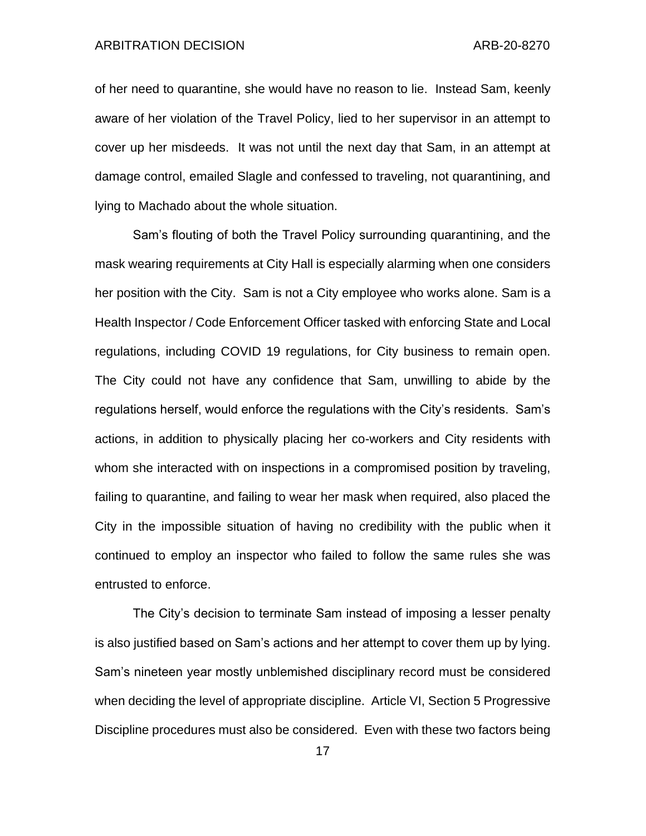ARBITRATION DECISION ARB-20-8270

of her need to quarantine, she would have no reason to lie. Instead Sam, keenly aware of her violation of the Travel Policy, lied to her supervisor in an attempt to cover up her misdeeds. It was not until the next day that Sam, in an attempt at damage control, emailed Slagle and confessed to traveling, not quarantining, and lying to Machado about the whole situation.

Sam's flouting of both the Travel Policy surrounding quarantining, and the mask wearing requirements at City Hall is especially alarming when one considers her position with the City. Sam is not a City employee who works alone. Sam is a Health Inspector / Code Enforcement Officer tasked with enforcing State and Local regulations, including COVID 19 regulations, for City business to remain open. The City could not have any confidence that Sam, unwilling to abide by the regulations herself, would enforce the regulations with the City's residents. Sam's actions, in addition to physically placing her co-workers and City residents with whom she interacted with on inspections in a compromised position by traveling, failing to quarantine, and failing to wear her mask when required, also placed the City in the impossible situation of having no credibility with the public when it continued to employ an inspector who failed to follow the same rules she was entrusted to enforce.

The City's decision to terminate Sam instead of imposing a lesser penalty is also justified based on Sam's actions and her attempt to cover them up by lying. Sam's nineteen year mostly unblemished disciplinary record must be considered when deciding the level of appropriate discipline. Article VI, Section 5 Progressive Discipline procedures must also be considered. Even with these two factors being